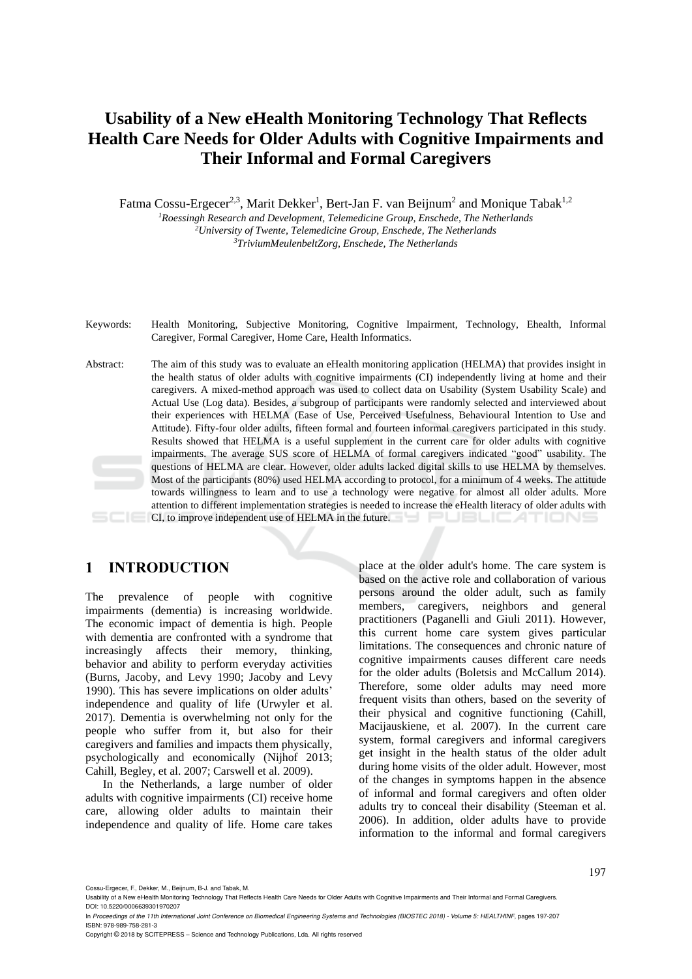# **Usability of a New eHealth Monitoring Technology That Reflects Health Care Needs for Older Adults with Cognitive Impairments and Their Informal and Formal Caregivers**

Fatma Cossu-Ergecer<sup>2,3</sup>, Marit Dekker<sup>1</sup>, Bert-Jan F. van Beijnum<sup>2</sup> and Monique Tabak<sup>1,2</sup> *<sup>1</sup>Roessingh Research and Development, Telemedicine Group, Enschede, The Netherlands <sup>2</sup>University of Twente, Telemedicine Group, Enschede, The Netherlands*

*<sup>3</sup>TriviumMeulenbeltZorg, Enschede, The Netherlands*

- Keywords: Health Monitoring, Subjective Monitoring, Cognitive Impairment, Technology, Ehealth, Informal Caregiver, Formal Caregiver, Home Care, Health Informatics.
- Abstract: The aim of this study was to evaluate an eHealth monitoring application (HELMA) that provides insight in the health status of older adults with cognitive impairments (CI) independently living at home and their caregivers. A mixed-method approach was used to collect data on Usability (System Usability Scale) and Actual Use (Log data). Besides, a subgroup of participants were randomly selected and interviewed about their experiences with HELMA (Ease of Use, Perceived Usefulness, Behavioural Intention to Use and Attitude). Fifty-four older adults, fifteen formal and fourteen informal caregivers participated in this study. Results showed that HELMA is a useful supplement in the current care for older adults with cognitive impairments. The average SUS score of HELMA of formal caregivers indicated "good" usability. The questions of HELMA are clear. However, older adults lacked digital skills to use HELMA by themselves. Most of the participants (80%) used HELMA according to protocol, for a minimum of 4 weeks. The attitude towards willingness to learn and to use a technology were negative for almost all older adults. More attention to different implementation strategies is needed to increase the eHealth literacy of older adults with CI, to improve independent use of HELMA in the future.

# **1 INTRODUCTION**

The prevalence of people with cognitive impairments (dementia) is increasing worldwide. The economic impact of dementia is high. People with dementia are confronted with a syndrome that increasingly affects their memory, thinking, behavior and ability to perform everyday activities (Burns, Jacoby, and Levy 1990; Jacoby and Levy 1990). This has severe implications on older adults' independence and quality of life (Urwyler et al. 2017). Dementia is overwhelming not only for the people who suffer from it, but also for their caregivers and families and impacts them physically, psychologically and economically (Nijhof 2013; Cahill, Begley, et al. 2007; Carswell et al. 2009).

In the Netherlands, a large number of older adults with cognitive impairments (CI) receive home care, allowing older adults to maintain their independence and quality of life. Home care takes

place at the older adult's home. The care system is based on the active role and collaboration of various persons around the older adult, such as family members, caregivers, neighbors and general practitioners (Paganelli and Giuli 2011). However, this current home care system gives particular limitations. The consequences and chronic nature of cognitive impairments causes different care needs for the older adults (Boletsis and McCallum 2014). Therefore, some older adults may need more frequent visits than others, based on the severity of their physical and cognitive functioning (Cahill, Macijauskiene, et al. 2007). In the current care system, formal caregivers and informal caregivers get insight in the health status of the older adult during home visits of the older adult. However, most of the changes in symptoms happen in the absence of informal and formal caregivers and often older adults try to conceal their disability (Steeman et al. 2006). In addition, older adults have to provide information to the informal and formal caregivers

Cossu-Ergecer, F., Dekker, M., Beijnum, B-J. and Tabak, M.

197

Usability of a New eHealth Monitoring Technology That Reflects Health Care Needs for Older Adults with Cognitive Impairments and Their Informal and Formal Caregivers. DOI: 10.5220/0006639301970207

In *Proceedings of the 11th International Joint Conference on Biomedical Engineering Systems and Technologies (BIOSTEC 2018) - Volume 5: HEALTHINF*, pages 197-207 ISBN: 978-989-758-281-3

Copyright © 2018 by SCITEPRESS – Science and Technology Publications, Lda. All rights reserved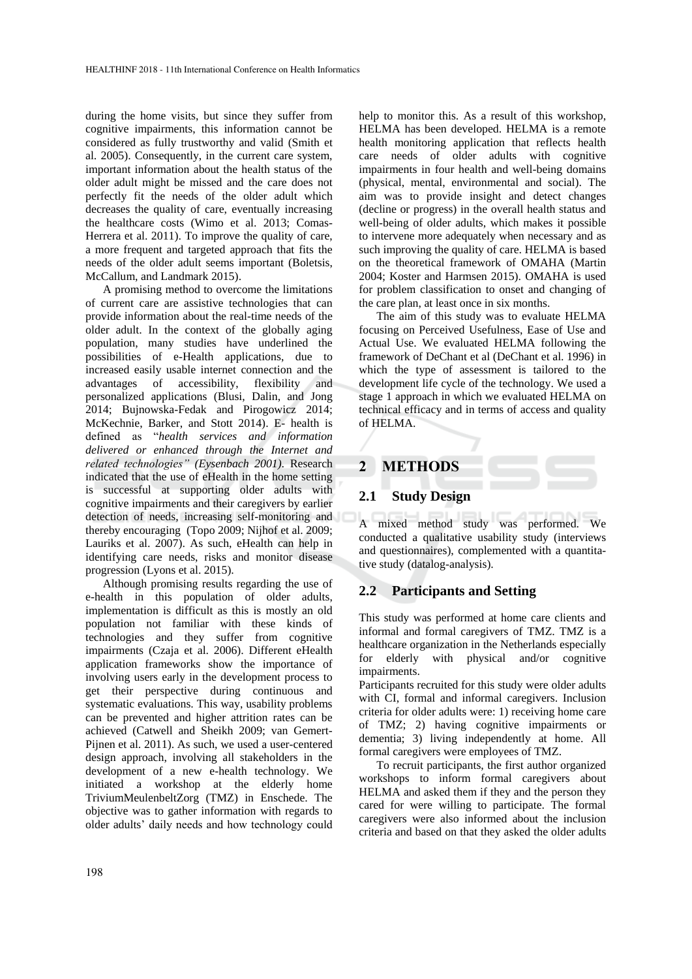during the home visits, but since they suffer from cognitive impairments, this information cannot be considered as fully trustworthy and valid (Smith et al. 2005). Consequently, in the current care system, important information about the health status of the older adult might be missed and the care does not perfectly fit the needs of the older adult which decreases the quality of care, eventually increasing the healthcare costs (Wimo et al. 2013; Comas-Herrera et al. 2011). To improve the quality of care, a more frequent and targeted approach that fits the needs of the older adult seems important (Boletsis, McCallum, and Landmark 2015).

A promising method to overcome the limitations of current care are assistive technologies that can provide information about the real-time needs of the older adult. In the context of the globally aging population, many studies have underlined the possibilities of e-Health applications, due to increased easily usable internet connection and the advantages of accessibility, flexibility and personalized applications (Blusi, Dalin, and Jong 2014; Bujnowska-Fedak and Pirogowicz 2014; McKechnie, Barker, and Stott 2014). E- health is defined as "*health services and information delivered or enhanced through the Internet and related technologies" (Eysenbach 2001)*. Research indicated that the use of eHealth in the home setting is successful at supporting older adults with cognitive impairments and their caregivers by earlier detection of needs, increasing self-monitoring and thereby encouraging (Topo 2009; Nijhof et al. 2009; Lauriks et al. 2007). As such, eHealth can help in identifying care needs, risks and monitor disease progression (Lyons et al. 2015).

Although promising results regarding the use of e-health in this population of older adults, implementation is difficult as this is mostly an old population not familiar with these kinds of technologies and they suffer from cognitive impairments (Czaja et al. 2006). Different eHealth application frameworks show the importance of involving users early in the development process to get their perspective during continuous and systematic evaluations. This way, usability problems can be prevented and higher attrition rates can be achieved (Catwell and Sheikh 2009; van Gemert-Pijnen et al. 2011). As such, we used a user-centered design approach, involving all stakeholders in the development of a new e-health technology. We initiated a workshop at the elderly home TriviumMeulenbeltZorg (TMZ) in Enschede. The objective was to gather information with regards to older adults' daily needs and how technology could help to monitor this. As a result of this workshop, HELMA has been developed. HELMA is a remote health monitoring application that reflects health care needs of older adults with cognitive impairments in four health and well-being domains (physical, mental, environmental and social). The aim was to provide insight and detect changes (decline or progress) in the overall health status and well-being of older adults, which makes it possible to intervene more adequately when necessary and as such improving the quality of care. HELMA is based on the theoretical framework of OMAHA (Martin 2004; Koster and Harmsen 2015). OMAHA is used for problem classification to onset and changing of the care plan, at least once in six months.

The aim of this study was to evaluate HELMA focusing on Perceived Usefulness, Ease of Use and Actual Use. We evaluated HELMA following the framework of DeChant et al (DeChant et al. 1996) in which the type of assessment is tailored to the development life cycle of the technology. We used a stage 1 approach in which we evaluated HELMA on technical efficacy and in terms of access and quality of HELMA.

# **2 METHODS**

#### **2.1 Study Design**

A mixed method study was performed. We conducted a qualitative usability study (interviews and questionnaires), complemented with a quantitative study (datalog-analysis).

#### **2.2 Participants and Setting**

This study was performed at home care clients and informal and formal caregivers of TMZ. TMZ is a healthcare organization in the Netherlands especially for elderly with physical and/or cognitive impairments.

Participants recruited for this study were older adults with CI, formal and informal caregivers. Inclusion criteria for older adults were: 1) receiving home care of TMZ; 2) having cognitive impairments or dementia; 3) living independently at home. All formal caregivers were employees of TMZ.

To recruit participants, the first author organized workshops to inform formal caregivers about HELMA and asked them if they and the person they cared for were willing to participate. The formal caregivers were also informed about the inclusion criteria and based on that they asked the older adults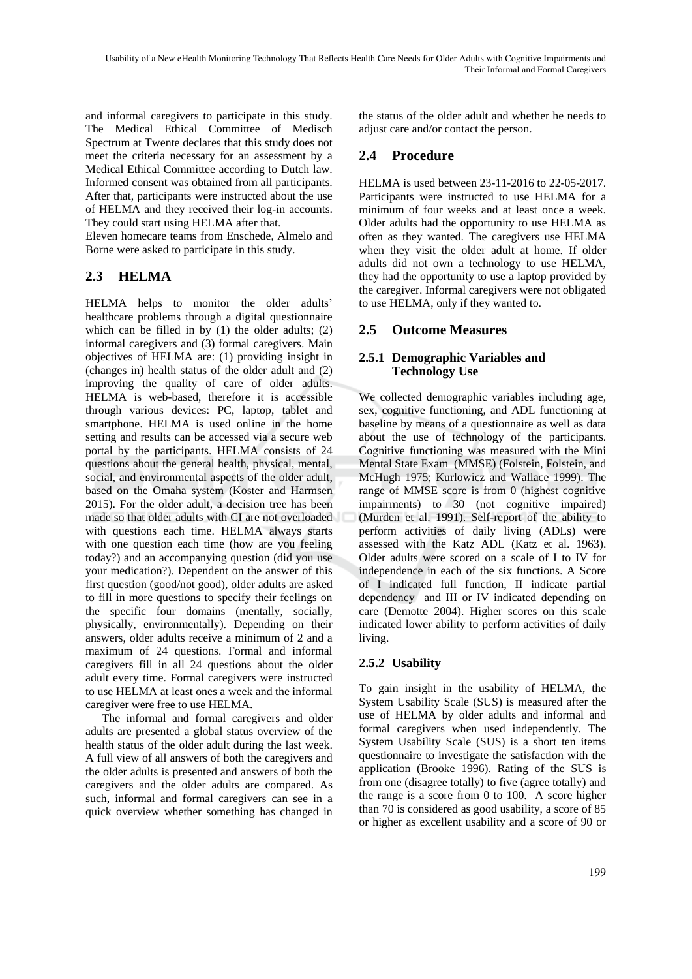and informal caregivers to participate in this study. The Medical Ethical Committee of Medisch Spectrum at Twente declares that this study does not meet the criteria necessary for an assessment by a Medical Ethical Committee according to Dutch law. Informed consent was obtained from all participants. After that, participants were instructed about the use of HELMA and they received their log-in accounts. They could start using HELMA after that.

Eleven homecare teams from Enschede, Almelo and Borne were asked to participate in this study.

# **2.3 HELMA**

HELMA helps to monitor the older adults' healthcare problems through a digital questionnaire which can be filled in by (1) the older adults; (2) informal caregivers and (3) formal caregivers. Main objectives of HELMA are: (1) providing insight in (changes in) health status of the older adult and (2) improving the quality of care of older adults. HELMA is web-based, therefore it is accessible through various devices: PC, laptop, tablet and smartphone. HELMA is used online in the home setting and results can be accessed via a secure web portal by the participants. HELMA consists of 24 questions about the general health, physical, mental, social, and environmental aspects of the older adult, based on the Omaha system (Koster and Harmsen 2015). For the older adult, a decision tree has been made so that older adults with CI are not overloaded with questions each time. HELMA always starts with one question each time (how are you feeling today?) and an accompanying question (did you use your medication?). Dependent on the answer of this first question (good/not good), older adults are asked to fill in more questions to specify their feelings on the specific four domains (mentally, socially, physically, environmentally). Depending on their answers, older adults receive a minimum of 2 and a maximum of 24 questions. Formal and informal caregivers fill in all 24 questions about the older adult every time. Formal caregivers were instructed to use HELMA at least ones a week and the informal caregiver were free to use HELMA.

The informal and formal caregivers and older adults are presented a global status overview of the health status of the older adult during the last week. A full view of all answers of both the caregivers and the older adults is presented and answers of both the caregivers and the older adults are compared. As such, informal and formal caregivers can see in a quick overview whether something has changed in

the status of the older adult and whether he needs to adjust care and/or contact the person.

# **2.4 Procedure**

HELMA is used between 23-11-2016 to 22-05-2017. Participants were instructed to use HELMA for a minimum of four weeks and at least once a week. Older adults had the opportunity to use HELMA as often as they wanted. The caregivers use HELMA when they visit the older adult at home. If older adults did not own a technology to use HELMA, they had the opportunity to use a laptop provided by the caregiver. Informal caregivers were not obligated to use HELMA, only if they wanted to.

# **2.5 Outcome Measures**

### **2.5.1 Demographic Variables and Technology Use**

We collected demographic variables including age, sex, cognitive functioning, and ADL functioning at baseline by means of a questionnaire as well as data about the use of technology of the participants. Cognitive functioning was measured with the Mini Mental State Exam (MMSE) (Folstein, Folstein, and McHugh 1975; Kurlowicz and Wallace 1999). The range of MMSE score is from 0 (highest cognitive impairments) to 30 (not cognitive impaired) (Murden et al. 1991). Self-report of the ability to perform activities of daily living (ADLs) were assessed with the Katz ADL (Katz et al. 1963). Older adults were scored on a scale of I to IV for independence in each of the six functions. A Score of I indicated full function, II indicate partial dependency and III or IV indicated depending on care (Demotte 2004). Higher scores on this scale indicated lower ability to perform activities of daily living.

# **2.5.2 Usability**

To gain insight in the usability of HELMA, the System Usability Scale (SUS) is measured after the use of HELMA by older adults and informal and formal caregivers when used independently. The System Usability Scale (SUS) is a short ten items questionnaire to investigate the satisfaction with the application (Brooke 1996). Rating of the SUS is from one (disagree totally) to five (agree totally) and the range is a score from 0 to 100. A score higher than 70 is considered as good usability, a score of 85 or higher as excellent usability and a score of 90 or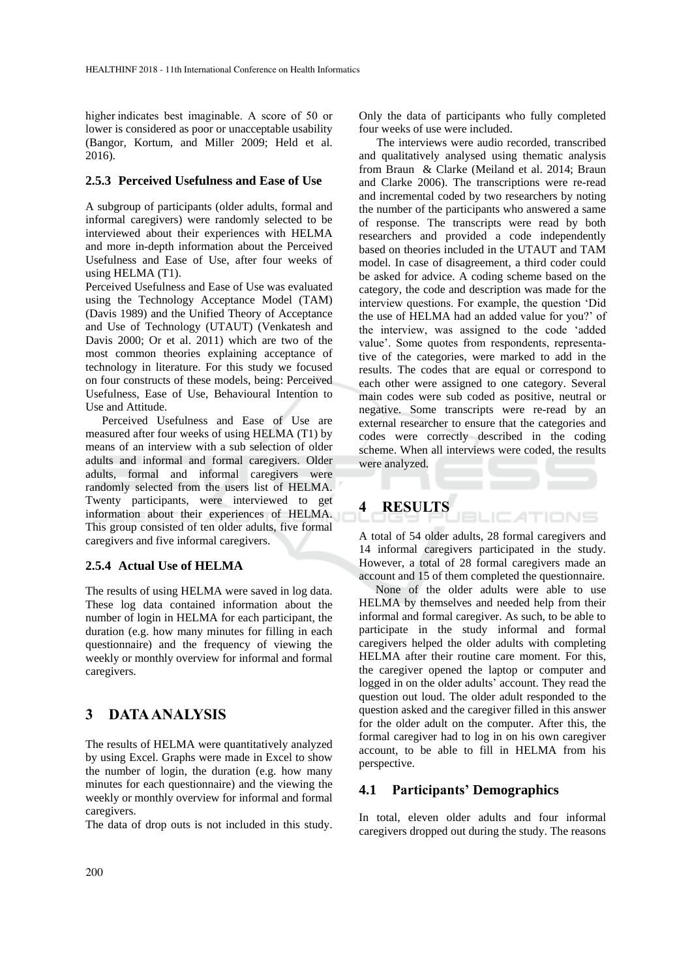higher indicates best imaginable. A score of 50 or lower is considered as poor or unacceptable usability (Bangor, Kortum, and Miller 2009; Held et al. 2016).

#### **2.5.3 Perceived Usefulness and Ease of Use**

A subgroup of participants (older adults, formal and informal caregivers) were randomly selected to be interviewed about their experiences with HELMA and more in-depth information about the Perceived Usefulness and Ease of Use, after four weeks of using HELMA (T1).

Perceived Usefulness and Ease of Use was evaluated using the Technology Acceptance Model (TAM) (Davis 1989) and the Unified Theory of Acceptance and Use of Technology (UTAUT) (Venkatesh and Davis 2000; Or et al. 2011) which are two of the most common theories explaining acceptance of technology in literature. For this study we focused on four constructs of these models, being: Perceived Usefulness, Ease of Use, Behavioural Intention to Use and Attitude.

Perceived Usefulness and Ease of Use are measured after four weeks of using HELMA (T1) by means of an interview with a sub selection of older adults and informal and formal caregivers. Older adults, formal and informal caregivers were randomly selected from the users list of HELMA. Twenty participants, were interviewed to get information about their experiences of HELMA. This group consisted of ten older adults, five formal caregivers and five informal caregivers.

#### **2.5.4 Actual Use of HELMA**

The results of using HELMA were saved in log data. These log data contained information about the number of login in HELMA for each participant, the duration (e.g. how many minutes for filling in each questionnaire) and the frequency of viewing the weekly or monthly overview for informal and formal caregivers.

# **3 DATA ANALYSIS**

The results of HELMA were quantitatively analyzed by using Excel. Graphs were made in Excel to show the number of login, the duration (e.g. how many minutes for each questionnaire) and the viewing the weekly or monthly overview for informal and formal caregivers.

The data of drop outs is not included in this study.

Only the data of participants who fully completed four weeks of use were included.

The interviews were audio recorded, transcribed and qualitatively analysed using thematic analysis from Braun & Clarke (Meiland et al. 2014; Braun and Clarke 2006). The transcriptions were re-read and incremental coded by two researchers by noting the number of the participants who answered a same of response. The transcripts were read by both researchers and provided a code independently based on theories included in the UTAUT and TAM model. In case of disagreement, a third coder could be asked for advice. A coding scheme based on the category, the code and description was made for the interview questions. For example, the question 'Did the use of HELMA had an added value for you?' of the interview, was assigned to the code 'added value'. Some quotes from respondents, representative of the categories, were marked to add in the results. The codes that are equal or correspond to each other were assigned to one category. Several main codes were sub coded as positive, neutral or negative. Some transcripts were re-read by an external researcher to ensure that the categories and codes were correctly described in the coding scheme. When all interviews were coded, the results were analyzed.

# **4 RESULTS**

A total of 54 older adults, 28 formal caregivers and 14 informal caregivers participated in the study. However, a total of 28 formal caregivers made an account and 15 of them completed the questionnaire.

BLIC ATIONS

None of the older adults were able to use HELMA by themselves and needed help from their informal and formal caregiver. As such, to be able to participate in the study informal and formal caregivers helped the older adults with completing HELMA after their routine care moment. For this, the caregiver opened the laptop or computer and logged in on the older adults' account. They read the question out loud. The older adult responded to the question asked and the caregiver filled in this answer for the older adult on the computer. After this, the formal caregiver had to log in on his own caregiver account, to be able to fill in HELMA from his perspective.

### **4.1 Participants' Demographics**

In total, eleven older adults and four informal caregivers dropped out during the study. The reasons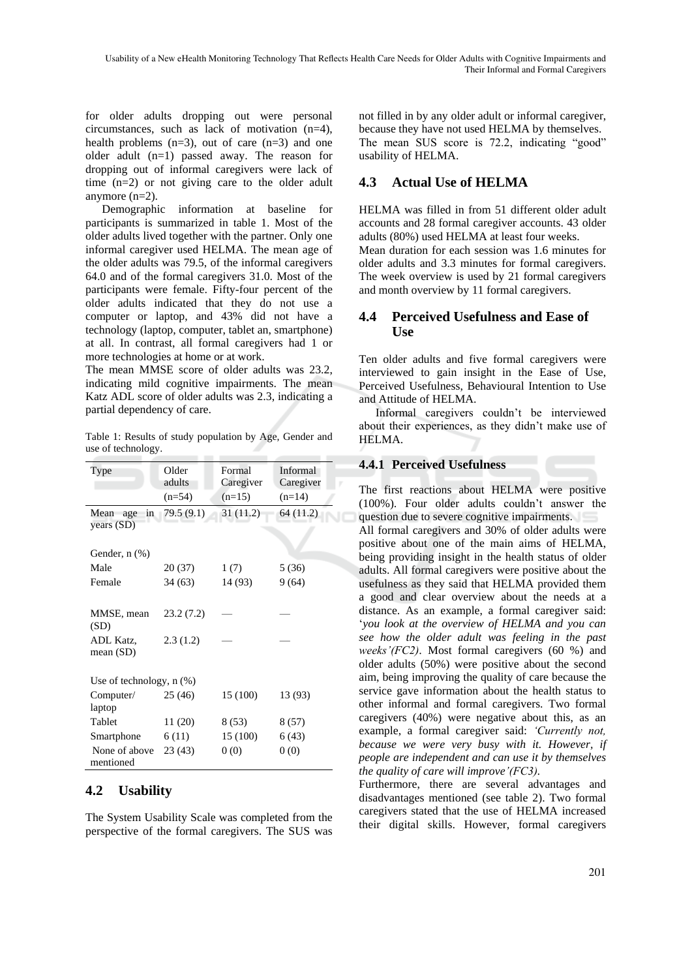for older adults dropping out were personal circumstances, such as lack of motivation (n=4), health problems  $(n=3)$ , out of care  $(n=3)$  and one older adult (n=1) passed away. The reason for dropping out of informal caregivers were lack of time (n=2) or not giving care to the older adult anymore (n=2).

Demographic information at baseline for participants is summarized in table 1. Most of the older adults lived together with the partner. Only one informal caregiver used HELMA. The mean age of the older adults was 79.5, of the informal caregivers 64.0 and of the formal caregivers 31.0. Most of the participants were female. Fifty-four percent of the older adults indicated that they do not use a computer or laptop, and 43% did not have a technology (laptop, computer, tablet an, smartphone) at all. In contrast, all formal caregivers had 1 or more technologies at home or at work.

The mean MMSE score of older adults was 23.2, indicating mild cognitive impairments. The mean Katz ADL score of older adults was 2.3, indicating a partial dependency of care.

Table 1: Results of study population by Age, Gender and use of technology.

| Type                            | Older<br>adults | Formal<br>Caregiver | Informal<br>Caregiver |
|---------------------------------|-----------------|---------------------|-----------------------|
|                                 | $(n=54)$        | $(n=15)$            | $(n=14)$              |
| in<br>Mean<br>age<br>years (SD) | 79.5(9.1)       | 31 (11.2)           | 64 (11.2)             |
| Gender, $n$ $(\%)$              |                 |                     |                       |
| Male                            | 20 (37)         | 1(7)                | 5 (36)                |
| Female                          | 34(63)          | 14 (93)             | 9(64)                 |
| MMSE, mean<br>(SD)              | 23.2(7.2)       |                     |                       |
| ADL Katz,<br>mean $(SD)$        | 2.3(1.2)        |                     |                       |
| Use of technology, $n$ $(\%)$   |                 |                     |                       |
| Computer/<br>laptop             | 25(46)          | 15 (100)            | 13 (93)               |
| Tablet                          | 11 (20)         | 8(53)               | 8(57)                 |
| Smartphone                      | 6(11)           | 15 (100)            | 6(43)                 |
| None of above<br>mentioned      | 23(43)          | 0(0)                | 0(0)                  |

#### **4.2 Usability**

The System Usability Scale was completed from the perspective of the formal caregivers. The SUS was

not filled in by any older adult or informal caregiver, because they have not used HELMA by themselves. The mean SUS score is 72.2, indicating "good" usability of HELMA.

## **4.3 Actual Use of HELMA**

HELMA was filled in from 51 different older adult accounts and 28 formal caregiver accounts. 43 older adults (80%) used HELMA at least four weeks. Mean duration for each session was 1.6 minutes for older adults and 3.3 minutes for formal caregivers. The week overview is used by 21 formal caregivers and month overview by 11 formal caregivers.

#### **4.4 Perceived Usefulness and Ease of Use**

Ten older adults and five formal caregivers were interviewed to gain insight in the Ease of Use, Perceived Usefulness, Behavioural Intention to Use and Attitude of HELMA.

Informal caregivers couldn't be interviewed about their experiences, as they didn't make use of HELMA.

#### **4.4.1 Perceived Usefulness**

The first reactions about HELMA were positive (100%). Four older adults couldn't answer the question due to severe cognitive impairments.

All formal caregivers and 30% of older adults were positive about one of the main aims of HELMA, being providing insight in the health status of older adults. All formal caregivers were positive about the usefulness as they said that HELMA provided them a good and clear overview about the needs at a distance. As an example, a formal caregiver said: '*you look at the overview of HELMA and you can see how the older adult was feeling in the past weeks'(FC2)*. Most formal caregivers (60 %) and older adults (50%) were positive about the second aim, being improving the quality of care because the service gave information about the health status to other informal and formal caregivers. Two formal caregivers (40%) were negative about this, as an example, a formal caregiver said: *'Currently not, because we were very busy with it. However, if people are independent and can use it by themselves the quality of care will improve'(FC3).*

Furthermore, there are several advantages and disadvantages mentioned (see table 2). Two formal caregivers stated that the use of HELMA increased their digital skills. However, formal caregivers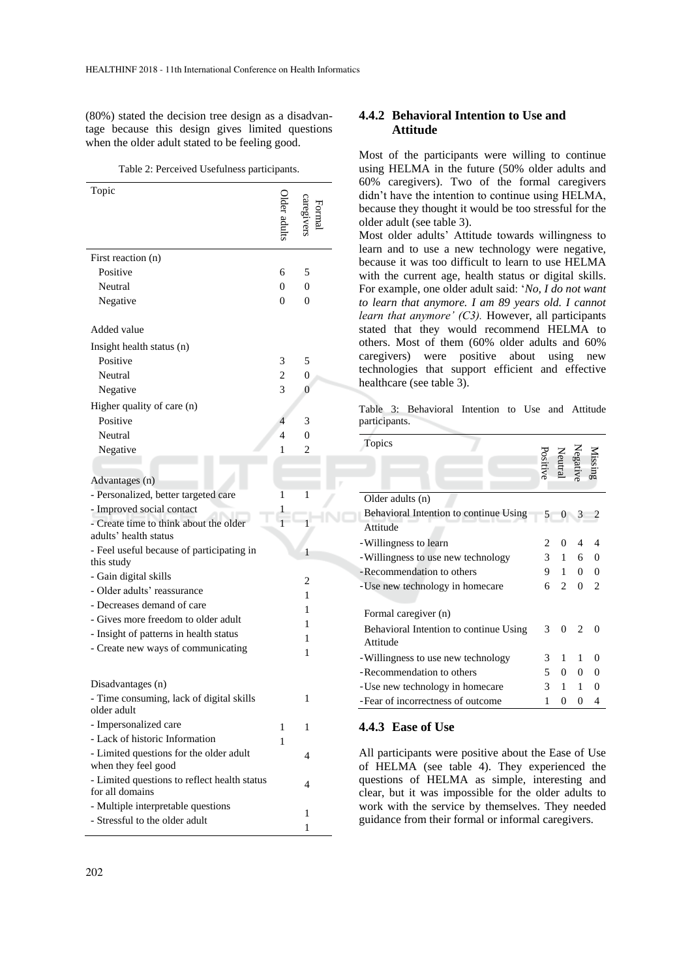(80%) stated the decision tree design as a disadvantage because this design gives limited questions when the older adult stated to be feeling good.

Table 2: Perceived Usefulness participants.

| Topic                                                   |                |                |
|---------------------------------------------------------|----------------|----------------|
| First reaction (n)                                      |                |                |
| Positive                                                | 6              | 5              |
| Neutral                                                 | $\Omega$       | $\overline{0}$ |
| Negative                                                | 0              | $\theta$       |
| Added value                                             |                |                |
| Insight health status (n)                               |                |                |
| Positive                                                | 3              | 5              |
| Neutral                                                 | 2              | $\overline{0}$ |
| Negative                                                | 3              | 0              |
|                                                         |                |                |
| Higher quality of care (n)<br>Positive                  | $\overline{4}$ | 3              |
| Neutral                                                 | 4              | $\overline{0}$ |
|                                                         | 1              | 2              |
| Negative                                                |                |                |
|                                                         |                |                |
| Advantages (n)                                          |                |                |
| - Personalized, better targeted care                    | 1              | 1              |
| - Improved social contact                               |                |                |
| - Create time to think about the older                  |                | 1              |
| adults' health status                                   |                |                |
| - Feel useful because of participating in<br>this study |                | 1              |
| - Gain digital skills                                   |                |                |
| - Older adults' reassurance                             |                | $\overline{c}$ |
| - Decreases demand of care                              |                | 1              |
| - Gives more freedom to older adult                     |                | 1              |
| - Insight of patterns in health status                  |                | 1              |
| - Create new ways of communicating                      |                | 1              |
|                                                         |                | 1              |
| Disadvantages (n)                                       |                |                |
| Time consuming, lack of digital skills                  |                |                |
| older adult                                             |                |                |
| - Impersonalized care                                   | 1              | 1              |
| - Lack of historic Information                          | 1              |                |
| - Limited questions for the older adult                 |                | 4              |
| when they feel good                                     |                |                |
| - Limited questions to reflect health status            |                | 4              |
| for all domains                                         |                |                |
| - Multiple interpretable questions                      |                | 1              |
| - Stressful to the older adult                          |                | 1              |

#### **4.4.2 Behavioral Intention to Use and Attitude**

Most of the participants were willing to continue using HELMA in the future (50% older adults and 60% caregivers). Two of the formal caregivers didn't have the intention to continue using HELMA, because they thought it would be too stressful for the older adult (see table 3).

Most older adults' Attitude towards willingness to learn and to use a new technology were negative, because it was too difficult to learn to use HELMA with the current age, health status or digital skills. For example, one older adult said: '*No, I do not want to learn that anymore. I am 89 years old. I cannot learn that anymore' (C3).* However, all participants stated that they would recommend HELMA to others. Most of them (60% older adults and 60% caregivers) were positive about using new technologies that support efficient and effective healthcare (see table 3).

Table 3: Behavioral Intention to Use and Attitude participants.

| Topics                                             |                |                 |                               |                |  |
|----------------------------------------------------|----------------|-----------------|-------------------------------|----------------|--|
|                                                    | Positive       |                 | Missing<br>Negativ<br>Neutral |                |  |
| Older adults (n)                                   |                |                 |                               |                |  |
| Behavioral Intention to continue Using             | $5 -$          | $\mathbf{0}$    | $\overline{3}$                |                |  |
| Attitude                                           |                |                 |                               |                |  |
| -Willingness to learn                              |                | 0               | 4                             | 4              |  |
| -Willingness to use new technology                 |                | $3 \t1 \t6 \t0$ |                               |                |  |
| -Recommendation to others                          |                | 9 1             |                               | $0 \quad 0$    |  |
| - Use new technology in homecare                   | б.             | 2               | $\overline{0}$                | $\overline{2}$ |  |
| Formal caregiver (n)                               |                |                 |                               |                |  |
| Behavioral Intention to continue Using<br>Attitude | 3              | 0               | $\mathfrak{D}$                |                |  |
| -Willingness to use new technology                 | 3              | 1               | 1                             | 0              |  |
| -Recommendation to others                          | 5 <sup>5</sup> | $\overline{0}$  | 0                             | $\overline{0}$ |  |
| -Use new technology in homecare                    | 3 <sup>7</sup> | $\mathbf{1}$    | $\mathbf{1}$                  | 0              |  |
| -Fear of incorrectness of outcome                  | 1              | 0               | 0                             | 4              |  |
|                                                    |                |                 |                               |                |  |

#### **4.4.3 Ease of Use**

All participants were positive about the Ease of Use of HELMA (see table 4). They experienced the questions of HELMA as simple, interesting and clear, but it was impossible for the older adults to work with the service by themselves. They needed guidance from their formal or informal caregivers.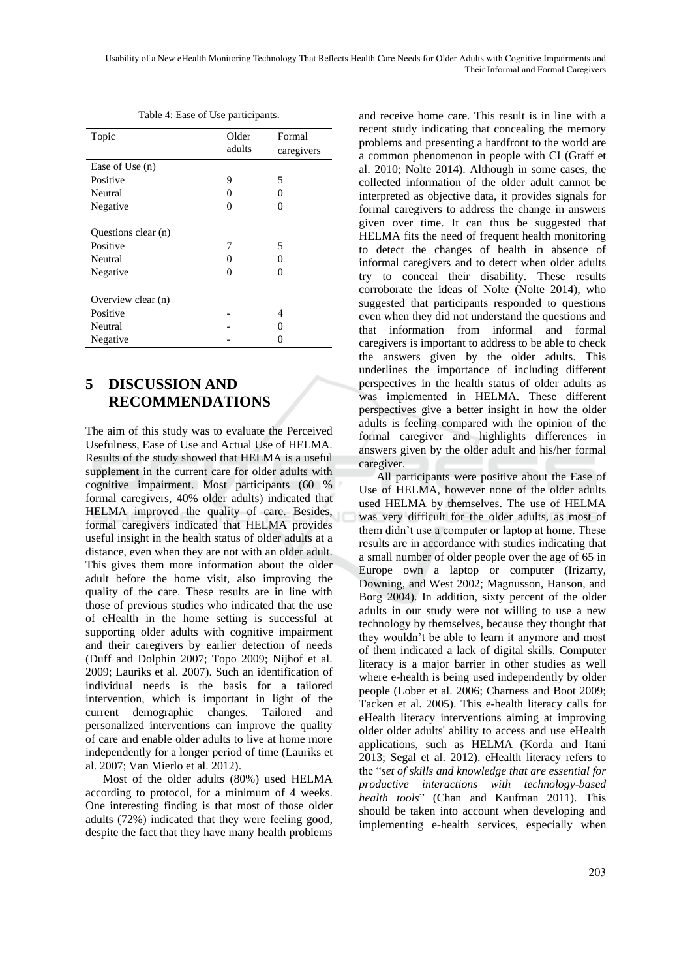Usability of a New eHealth Monitoring Technology That Reflects Health Care Needs for Older Adults with Cognitive Impairments and Their Informal and Formal Caregivers

| Topic               | Older<br>adults   | Formal<br>caregivers |  |
|---------------------|-------------------|----------------------|--|
| Ease of Use (n)     |                   |                      |  |
| Positive            | 9                 | 5                    |  |
| Neutral             | 0                 | 0                    |  |
| Negative            | 0                 | 0                    |  |
| Questions clear (n) |                   |                      |  |
| Positive            | 7                 | 5                    |  |
| Neutral             | $\mathbf{\Omega}$ | $\mathbf{\Omega}$    |  |
| Negative            | 0                 | $\Omega$             |  |
| Overview clear (n)  |                   |                      |  |
| Positive            |                   | 4                    |  |
| Neutral             |                   |                      |  |
| Negative            |                   |                      |  |

Table 4: Ease of Use participants.

# **5 DISCUSSION AND RECOMMENDATIONS**

The aim of this study was to evaluate the Perceived Usefulness, Ease of Use and Actual Use of HELMA. Results of the study showed that HELMA is a useful supplement in the current care for older adults with cognitive impairment. Most participants (60 % formal caregivers, 40% older adults) indicated that HELMA improved the quality of care. Besides, formal caregivers indicated that HELMA provides useful insight in the health status of older adults at a distance, even when they are not with an older adult. This gives them more information about the older adult before the home visit, also improving the quality of the care. These results are in line with those of previous studies who indicated that the use of eHealth in the home setting is successful at supporting older adults with cognitive impairment and their caregivers by earlier detection of needs (Duff and Dolphin 2007; Topo 2009; Nijhof et al. 2009; Lauriks et al. 2007). Such an identification of individual needs is the basis for a tailored intervention, which is important in light of the current demographic changes. Tailored and personalized interventions can improve the quality of care and enable older adults to live at home more independently for a longer period of time (Lauriks et al. 2007; Van Mierlo et al. 2012).

Most of the older adults (80%) used HELMA according to protocol, for a minimum of 4 weeks. One interesting finding is that most of those older adults (72%) indicated that they were feeling good, despite the fact that they have many health problems

and receive home care. This result is in line with a recent study indicating that concealing the memory problems and presenting a hardfront to the world are a common phenomenon in people with CI (Graff et al. 2010; Nolte 2014). Although in some cases, the collected information of the older adult cannot be interpreted as objective data, it provides signals for formal caregivers to address the change in answers given over time. It can thus be suggested that HELMA fits the need of frequent health monitoring to detect the changes of health in absence of informal caregivers and to detect when older adults try to conceal their disability. These results corroborate the ideas of Nolte (Nolte 2014), who suggested that participants responded to questions even when they did not understand the questions and that information from informal and formal caregivers is important to address to be able to check the answers given by the older adults. This underlines the importance of including different perspectives in the health status of older adults as was implemented in HELMA. These different perspectives give a better insight in how the older adults is feeling compared with the opinion of the formal caregiver and highlights differences in answers given by the older adult and his/her formal caregiver.

All participants were positive about the Ease of Use of HELMA, however none of the older adults used HELMA by themselves. The use of HELMA was very difficult for the older adults, as most of them didn't use a computer or laptop at home. These results are in accordance with studies indicating that a small number of older people over the age of 65 in Europe own a laptop or computer (Irizarry, Downing, and West 2002; Magnusson, Hanson, and Borg 2004). In addition, sixty percent of the older adults in our study were not willing to use a new technology by themselves, because they thought that they wouldn't be able to learn it anymore and most of them indicated a lack of digital skills. Computer literacy is a major barrier in other studies as well where e-health is being used independently by older people (Lober et al. 2006; Charness and Boot 2009; Tacken et al. 2005). This e-health literacy calls for eHealth literacy interventions aiming at improving older older adults' ability to access and use eHealth applications, such as HELMA (Korda and Itani 2013; Segal et al. 2012). eHealth literacy refers to the "*set of skills and knowledge that are essential for productive interactions with technology-based health tools*" (Chan and Kaufman 2011). This should be taken into account when developing and implementing e-health services, especially when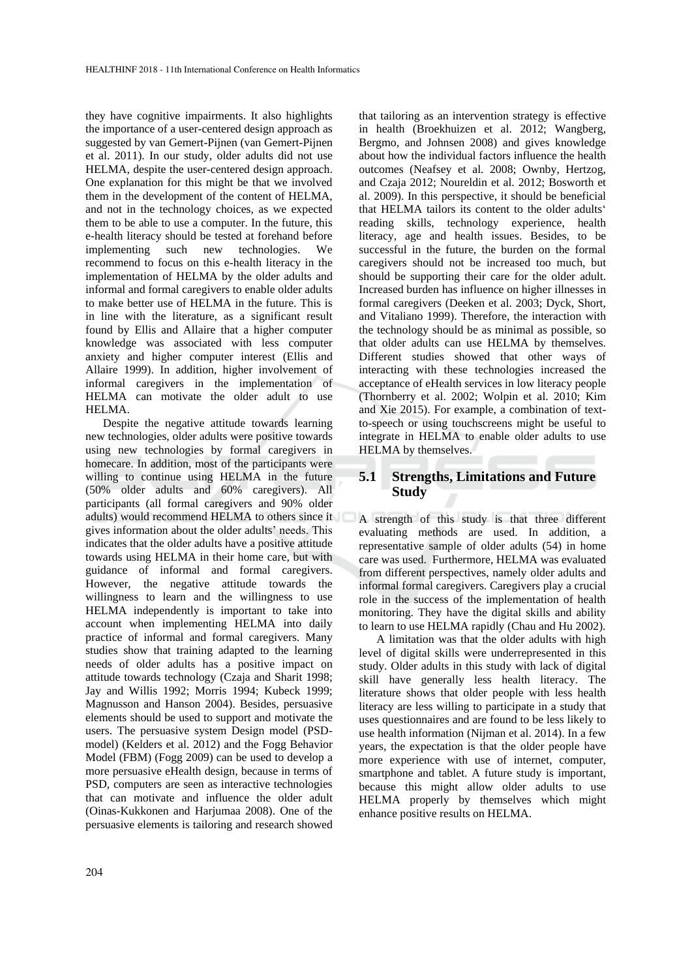they have cognitive impairments. It also highlights the importance of a user-centered design approach as suggested by van Gemert-Pijnen (van Gemert-Pijnen et al. 2011). In our study, older adults did not use HELMA, despite the user-centered design approach. One explanation for this might be that we involved them in the development of the content of HELMA, and not in the technology choices, as we expected them to be able to use a computer. In the future, this e-health literacy should be tested at forehand before implementing such new technologies. We recommend to focus on this e-health literacy in the implementation of HELMA by the older adults and informal and formal caregivers to enable older adults to make better use of HELMA in the future. This is in line with the literature, as a significant result found by Ellis and Allaire that a higher computer knowledge was associated with less computer anxiety and higher computer interest (Ellis and Allaire 1999). In addition, higher involvement of informal caregivers in the implementation of HELMA can motivate the older adult to use HELMA.

Despite the negative attitude towards learning new technologies, older adults were positive towards using new technologies by formal caregivers in homecare. In addition, most of the participants were willing to continue using HELMA in the future (50% older adults and 60% caregivers). All participants (all formal caregivers and 90% older adults) would recommend HELMA to others since it gives information about the older adults' needs. This indicates that the older adults have a positive attitude towards using HELMA in their home care, but with guidance of informal and formal caregivers. However, the negative attitude towards the willingness to learn and the willingness to use HELMA independently is important to take into account when implementing HELMA into daily practice of informal and formal caregivers. Many studies show that training adapted to the learning needs of older adults has a positive impact on attitude towards technology (Czaja and Sharit 1998; Jay and Willis 1992; Morris 1994; Kubeck 1999; Magnusson and Hanson 2004). Besides, persuasive elements should be used to support and motivate the users. The persuasive system Design model (PSDmodel) (Kelders et al. 2012) and the Fogg Behavior Model (FBM) (Fogg 2009) can be used to develop a more persuasive eHealth design, because in terms of PSD, computers are seen as interactive technologies that can motivate and influence the older adult (Oinas-Kukkonen and Harjumaa 2008). One of the persuasive elements is tailoring and research showed

that tailoring as an intervention strategy is effective in health (Broekhuizen et al. 2012; Wangberg, Bergmo, and Johnsen 2008) and gives knowledge about how the individual factors influence the health outcomes (Neafsey et al. 2008; Ownby, Hertzog, and Czaja 2012; Noureldin et al. 2012; Bosworth et al. 2009). In this perspective, it should be beneficial that HELMA tailors its content to the older adults' reading skills, technology experience, health literacy, age and health issues. Besides, to be successful in the future, the burden on the formal caregivers should not be increased too much, but should be supporting their care for the older adult. Increased burden has influence on higher illnesses in formal caregivers (Deeken et al. 2003; Dyck, Short, and Vitaliano 1999). Therefore, the interaction with the technology should be as minimal as possible, so that older adults can use HELMA by themselves. Different studies showed that other ways of interacting with these technologies increased the acceptance of eHealth services in low literacy people (Thornberry et al. 2002; Wolpin et al. 2010; Kim and Xie 2015). For example, a combination of textto-speech or using touchscreens might be useful to integrate in HELMA to enable older adults to use HELMA by themselves.

# **5.1 Strengths, Limitations and Future Study**

A strength of this study is that three different evaluating methods are used. In addition, a representative sample of older adults (54) in home care was used. Furthermore, HELMA was evaluated from different perspectives, namely older adults and informal formal caregivers. Caregivers play a crucial role in the success of the implementation of health monitoring. They have the digital skills and ability to learn to use HELMA rapidly (Chau and Hu 2002).

A limitation was that the older adults with high level of digital skills were underrepresented in this study. Older adults in this study with lack of digital skill have generally less health literacy. The literature shows that older people with less health literacy are less willing to participate in a study that uses questionnaires and are found to be less likely to use health information (Nijman et al. 2014). In a few years, the expectation is that the older people have more experience with use of internet, computer, smartphone and tablet. A future study is important, because this might allow older adults to use HELMA properly by themselves which might enhance positive results on HELMA.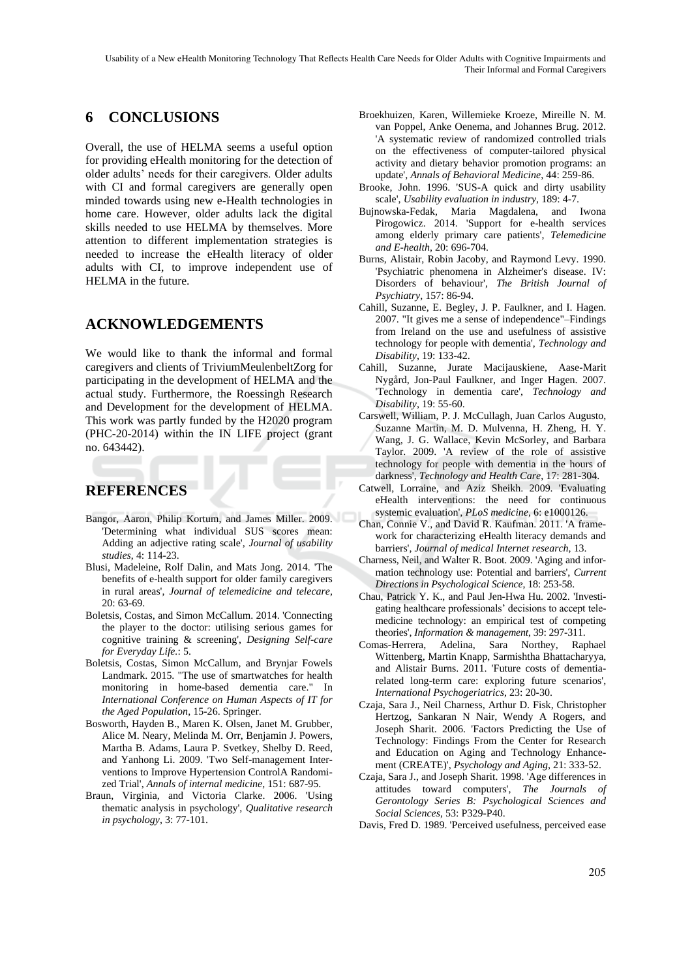Usability of a New eHealth Monitoring Technology That Reflects Health Care Needs for Older Adults with Cognitive Impairments and Their Informal and Formal Caregivers

# **6 CONCLUSIONS**

Overall, the use of HELMA seems a useful option for providing eHealth monitoring for the detection of older adults' needs for their caregivers. Older adults with CI and formal caregivers are generally open minded towards using new e-Health technologies in home care. However, older adults lack the digital skills needed to use HELMA by themselves. More attention to different implementation strategies is needed to increase the eHealth literacy of older adults with CI, to improve independent use of HELMA in the future.

# **ACKNOWLEDGEMENTS**

We would like to thank the informal and formal caregivers and clients of TriviumMeulenbeltZorg for participating in the development of HELMA and the actual study. Furthermore, the Roessingh Research and Development for the development of HELMA. This work was partly funded by the H2020 program (PHC-20-2014) within the IN LIFE project (grant no. 643442).

# **REFERENCES**

- Bangor, Aaron, Philip Kortum, and James Miller. 2009. 'Determining what individual SUS scores mean: Adding an adjective rating scale', *Journal of usability studies*, 4: 114-23.
- Blusi, Madeleine, Rolf Dalin, and Mats Jong. 2014. 'The benefits of e-health support for older family caregivers in rural areas', *Journal of telemedicine and telecare*, 20: 63-69.
- Boletsis, Costas, and Simon McCallum. 2014. 'Connecting the player to the doctor: utilising serious games for cognitive training & screening', *Designing Self-care for Everyday Life.*: 5.
- Boletsis, Costas, Simon McCallum, and Brynjar Fowels Landmark. 2015. "The use of smartwatches for health monitoring in home-based dementia care." In *International Conference on Human Aspects of IT for the Aged Population*, 15-26. Springer.
- Bosworth, Hayden B., Maren K. Olsen, Janet M. Grubber, Alice M. Neary, Melinda M. Orr, Benjamin J. Powers, Martha B. Adams, Laura P. Svetkey, Shelby D. Reed, and Yanhong Li. 2009. 'Two Self-management Interventions to Improve Hypertension ControlA Randomized Trial', *Annals of internal medicine*, 151: 687-95.
- Braun, Virginia, and Victoria Clarke. 2006. 'Using thematic analysis in psychology', *Qualitative research in psychology*, 3: 77-101.
- Broekhuizen, Karen, Willemieke Kroeze, Mireille N. M. van Poppel, Anke Oenema, and Johannes Brug. 2012. 'A systematic review of randomized controlled trials on the effectiveness of computer-tailored physical activity and dietary behavior promotion programs: an update', *Annals of Behavioral Medicine*, 44: 259-86.
- Brooke, John. 1996. 'SUS-A quick and dirty usability scale', *Usability evaluation in industry*, 189: 4-7.
- Bujnowska-Fedak, Maria Magdalena, and Iwona Pirogowicz. 2014. 'Support for e-health services among elderly primary care patients', *Telemedicine and E-health*, 20: 696-704.
- Burns, Alistair, Robin Jacoby, and Raymond Levy. 1990. 'Psychiatric phenomena in Alzheimer's disease. IV: Disorders of behaviour', *The British Journal of Psychiatry*, 157: 86-94.
- Cahill, Suzanne, E. Begley, J. P. Faulkner, and I. Hagen. 2007. "It gives me a sense of independence"–Findings from Ireland on the use and usefulness of assistive technology for people with dementia', *Technology and Disability*, 19: 133-42.
- Cahill, Suzanne, Jurate Macijauskiene, Aase-Marit Nygård, Jon-Paul Faulkner, and Inger Hagen. 2007. 'Technology in dementia care', *Technology and Disability*, 19: 55-60.
- Carswell, William, P. J. McCullagh, Juan Carlos Augusto, Suzanne Martin, M. D. Mulvenna, H. Zheng, H. Y. Wang, J. G. Wallace, Kevin McSorley, and Barbara Taylor. 2009. 'A review of the role of assistive technology for people with dementia in the hours of darkness', *Technology and Health Care*, 17: 281-304.
- Catwell, Lorraine, and Aziz Sheikh. 2009. 'Evaluating eHealth interventions: the need for continuous systemic evaluation', *PLoS medicine*, 6: e1000126.
- Chan, Connie V., and David R. Kaufman. 2011. 'A framework for characterizing eHealth literacy demands and barriers', *Journal of medical Internet research*, 13.
- Charness, Neil, and Walter R. Boot. 2009. 'Aging and information technology use: Potential and barriers', *Current Directions in Psychological Science*, 18: 253-58.
- Chau, Patrick Y. K., and Paul Jen-Hwa Hu. 2002. 'Investigating healthcare professionals' decisions to accept telemedicine technology: an empirical test of competing theories', *Information & management*, 39: 297-311.
- Comas-Herrera, Adelina, Sara Northey, Raphael Wittenberg, Martin Knapp, Sarmishtha Bhattacharyya, and Alistair Burns. 2011. 'Future costs of dementiarelated long-term care: exploring future scenarios', *International Psychogeriatrics*, 23: 20-30.
- Czaja, Sara J., Neil Charness, Arthur D. Fisk, Christopher Hertzog, Sankaran N Nair, Wendy A Rogers, and Joseph Sharit. 2006. 'Factors Predicting the Use of Technology: Findings From the Center for Research and Education on Aging and Technology Enhancement (CREATE)', *Psychology and Aging*, 21: 333-52.
- Czaja, Sara J., and Joseph Sharit. 1998. 'Age differences in attitudes toward computers', *The Journals of Gerontology Series B: Psychological Sciences and Social Sciences*, 53: P329-P40.
- Davis, Fred D. 1989. 'Perceived usefulness, perceived ease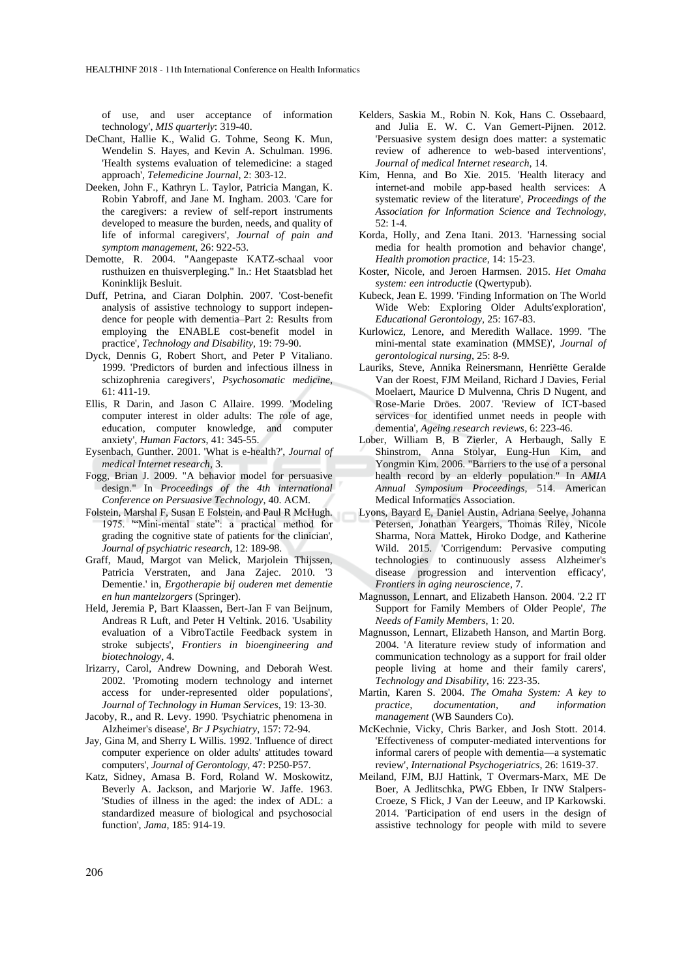of use, and user acceptance of information technology', *MIS quarterly*: 319-40.

- DeChant, Hallie K., Walid G. Tohme, Seong K. Mun, Wendelin S. Hayes, and Kevin A. Schulman. 1996. 'Health systems evaluation of telemedicine: a staged approach', *Telemedicine Journal*, 2: 303-12.
- Deeken, John F., Kathryn L. Taylor, Patricia Mangan, K. Robin Yabroff, and Jane M. Ingham. 2003. 'Care for the caregivers: a review of self-report instruments developed to measure the burden, needs, and quality of life of informal caregivers', *Journal of pain and symptom management*, 26: 922-53.
- Demotte, R. 2004. "Aangepaste KATZ-schaal voor rusthuizen en thuisverpleging." In.: Het Staatsblad het Koninklijk Besluit.
- Duff, Petrina, and Ciaran Dolphin. 2007. 'Cost-benefit analysis of assistive technology to support independence for people with dementia–Part 2: Results from employing the ENABLE cost-benefit model in practice', *Technology and Disability*, 19: 79-90.
- Dyck, Dennis G, Robert Short, and Peter P Vitaliano. 1999. 'Predictors of burden and infectious illness in schizophrenia caregivers', *Psychosomatic medicine*, 61: 411-19.
- Ellis, R Darin, and Jason C Allaire. 1999. 'Modeling computer interest in older adults: The role of age, education, computer knowledge, and computer anxiety', *Human Factors*, 41: 345-55.
- Eysenbach, Gunther. 2001. 'What is e-health?', *Journal of medical Internet research*, 3.
- Fogg, Brian J. 2009. "A behavior model for persuasive design." In *Proceedings of the 4th international Conference on Persuasive Technology*, 40. ACM.
- Folstein, Marshal F, Susan E Folstein, and Paul R McHugh. 1975. '"Mini-mental state": a practical method for grading the cognitive state of patients for the clinician', *Journal of psychiatric research*, 12: 189-98.
- Graff, Maud, Margot van Melick, Marjolein Thijssen, Patricia Verstraten, and Jana Zajec. 2010. '3 Dementie.' in, *Ergotherapie bij ouderen met dementie en hun mantelzorgers* (Springer).
- Held, Jeremia P, Bart Klaassen, Bert-Jan F van Beijnum, Andreas R Luft, and Peter H Veltink. 2016. 'Usability evaluation of a VibroTactile Feedback system in stroke subjects', *Frontiers in bioengineering and biotechnology*, 4.
- Irizarry, Carol, Andrew Downing, and Deborah West. 2002. 'Promoting modern technology and internet access for under-represented older populations', *Journal of Technology in Human Services*, 19: 13-30.
- Jacoby, R., and R. Levy. 1990. 'Psychiatric phenomena in Alzheimer's disease', *Br J Psychiatry*, 157: 72-94.
- Jay, Gina M, and Sherry L Willis. 1992. 'Influence of direct computer experience on older adults' attitudes toward computers', *Journal of Gerontology*, 47: P250-P57.
- Katz, Sidney, Amasa B. Ford, Roland W. Moskowitz, Beverly A. Jackson, and Marjorie W. Jaffe. 1963. 'Studies of illness in the aged: the index of ADL: a standardized measure of biological and psychosocial function', *Jama*, 185: 914-19.
- Kelders, Saskia M., Robin N. Kok, Hans C. Ossebaard, and Julia E. W. C. Van Gemert-Pijnen. 2012. 'Persuasive system design does matter: a systematic review of adherence to web-based interventions', *Journal of medical Internet research*, 14.
- Kim, Henna, and Bo Xie. 2015. 'Health literacy and internet-and mobile app-based health services: A systematic review of the literature', *Proceedings of the Association for Information Science and Technology*, 52: 1-4.
- Korda, Holly, and Zena Itani. 2013. 'Harnessing social media for health promotion and behavior change', *Health promotion practice*, 14: 15-23.
- Koster, Nicole, and Jeroen Harmsen. 2015. *Het Omaha system: een introductie* (Qwertypub).
- Kubeck, Jean E. 1999. 'Finding Information on The World Wide Web: Exploring Older Adults'exploration', *Educational Gerontology*, 25: 167-83.
- Kurlowicz, Lenore, and Meredith Wallace. 1999. 'The mini-mental state examination (MMSE)', *Journal of gerontological nursing*, 25: 8-9.
- Lauriks, Steve, Annika Reinersmann, Henriëtte Geralde Van der Roest, FJM Meiland, Richard J Davies, Ferial Moelaert, Maurice D Mulvenna, Chris D Nugent, and Rose-Marie Dröes. 2007. 'Review of ICT-based services for identified unmet needs in people with dementia', *Ageing research reviews*, 6: 223-46.
- Lober, William B, B Zierler, A Herbaugh, Sally E Shinstrom, Anna Stolyar, Eung-Hun Kim, and Yongmin Kim. 2006. "Barriers to the use of a personal health record by an elderly population." In *AMIA Annual Symposium Proceedings*, 514. American Medical Informatics Association.
- Lyons, Bayard E, Daniel Austin, Adriana Seelye, Johanna Petersen, Jonathan Yeargers, Thomas Riley, Nicole Sharma, Nora Mattek, Hiroko Dodge, and Katherine Wild. 2015. 'Corrigendum: Pervasive computing technologies to continuously assess Alzheimer's disease progression and intervention efficacy', *Frontiers in aging neuroscience*, 7.
- Magnusson, Lennart, and Elizabeth Hanson. 2004. '2.2 IT Support for Family Members of Older People', *The Needs of Family Members*, 1: 20.
- Magnusson, Lennart, Elizabeth Hanson, and Martin Borg. 2004. 'A literature review study of information and communication technology as a support for frail older people living at home and their family carers', *Technology and Disability*, 16: 223-35.
- Martin, Karen S. 2004. *The Omaha System: A key to practice, documentation, and information management* (WB Saunders Co).
- McKechnie, Vicky, Chris Barker, and Josh Stott. 2014. 'Effectiveness of computer-mediated interventions for informal carers of people with dementia—a systematic review', *International Psychogeriatrics*, 26: 1619-37.
- Meiland, FJM, BJJ Hattink, T Overmars-Marx, ME De Boer, A Jedlitschka, PWG Ebben, Ir INW Stalpers-Croeze, S Flick, J Van der Leeuw, and IP Karkowski. 2014. 'Participation of end users in the design of assistive technology for people with mild to severe